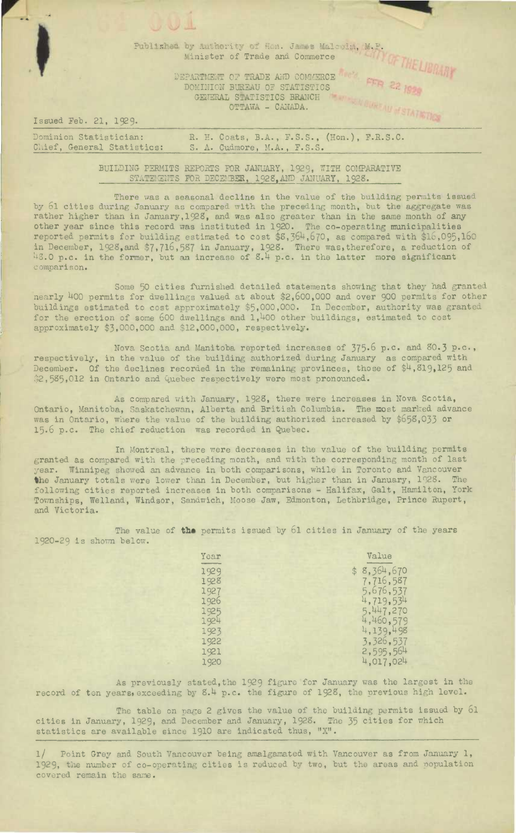Published by Authority of Hon. James Malcolm, M.P.<br>Minister of Trade and Commerce MANGETHELIBRARY Minister of Trade and Commerce

DEPARTMENT OF TRADE AND COMMERCE **DOMINION BUREAU OF STATISTICS** GENERAL STATISTICS BRANCH OTTAWA - CANADA.

FFR 22 1929

**SEN BUREAU of STATISTICS** 

Issued Feb. 21, 1929.

**V**

Dominion Statistician: R. H. Coats, B.A., F.S.S., (Hon.), F.R.S.C.<br>Chief, General Statistics: S. A. Cudmore, M.A., F.S.S. S. A. Cudmore, M.A., F.S.S.

> BUILDING PERMITS REPORTS FOR JANUARY, 1929, WITH COMPARATIVE STATEMENTS FOR DECEMBER, 1928, AND JANUARY, 1928.

There was a seasonal decline in the value of the building permits issued by 61 cities during January as compared with the preceding month, but the aggregate was rather higher than in January,1928, and was also greater than in the same month of any other year since this record *was* instituted **in** 1920. The co-operating rminictpalities reported permits for building estimated to cost \$8,364,670, as compared with \$16,095,160 in December, 1928,and. \$7,716,587 in January, 1928. There was,theref ore, a reduction of p.c. in the former, but an increase of  $8.4$  p.c. in the latter more significant conparison.

Some 50 cities furnished detailed statements showing that they had granted nearly 400 permits for dwellings valued at about \$2,600,000 and over 900 permits for other buildings estimated to cost approximately \$5,000,000. In December, authority was granted for the erection of some 600 dwellings and 1,400 other buildings, estimated to cost approximately \$3,000,000 and \$12,000,000, respectively.

Nova Scotia and Manitoba reported increases of 375.6 p.c. and 80.3 p.c., respectively, in the value of the building authorized during January as compared with December. Of the declines recorded in the remaining provinces, those of \$4,819,125 and \$2,585,012 in Ontario and Quebec respectively were most pronounced.

As compared with January, 1928, there were increases in Nova Scotia, Ontario, Manitoba, Saskatchewan, Alberta and British Columbia. The most marked advance was in Ontario, where the value of the building authorized increased by \$658,033 or 15.6 p.c. The chief reduction was recorded in Quebec.

In Montreal, there were decreases in the value of the building permits granted as compared with the preceding month, and with the corresponding month of last year. Winnipeg showed an advance in both comparisons, while in Toronto and Vancouver **the** January totals were lower than in December, but higher than in January, 1928. The following cities reported increases in both comparisons - Halifax, Gait, Hamilton, York Townships, Welland, Windsor, Sandwich, Moose Jaw, Edmonton, Lethbridge, Prince Rupert, and Victoria.

The value of **tba** permits issued by 61 cities in January of the years 1920-29 is shown below.

| Year | Value           |  |
|------|-----------------|--|
| 1929 | 8,364,670<br>\$ |  |
| 1928 | 7,716,587       |  |
| 1927 | 5,676,537       |  |
| 1926 | 4,719,534       |  |
| 1925 | 5,447,270       |  |
| 1924 | 4,460,579       |  |
| 1923 | 4,139,498       |  |
| 1922 | 3,326,537       |  |
| 1921 | 2,595,564       |  |
| 1920 | 4,017,024       |  |

As previously stated,the 1929 figure for January was the largest **in** the record of ten years, exceeding by 8.4 p.c. the figure of 1928, the previous high level.

The table on page 2 gives the value of the building permits issued by 61 cities in January, 1929, and December and January, 1928. The 35 cities for which statistics are available since 1910 are indicated thus, "X".

1/ Point Grey and South Vancouver being amalgamated with Vancouver as from January 1, 1929, *the* number of co-operating cities is reduced by two, but the areas and population covered remain the same.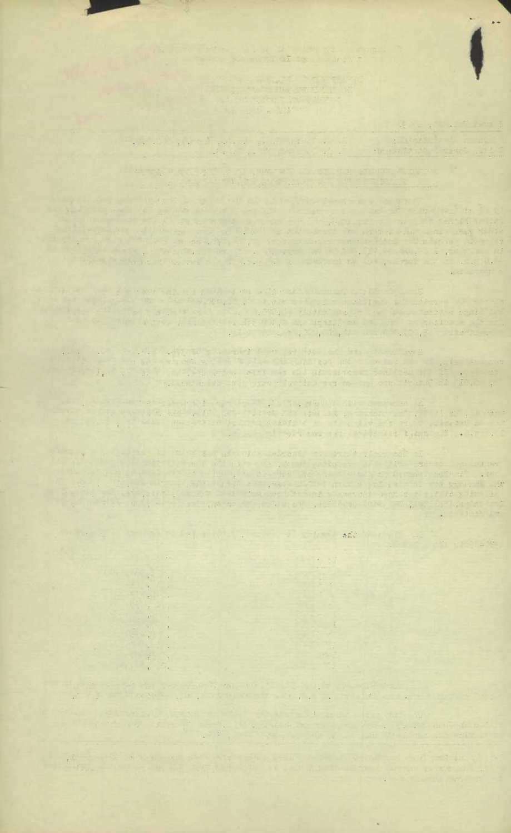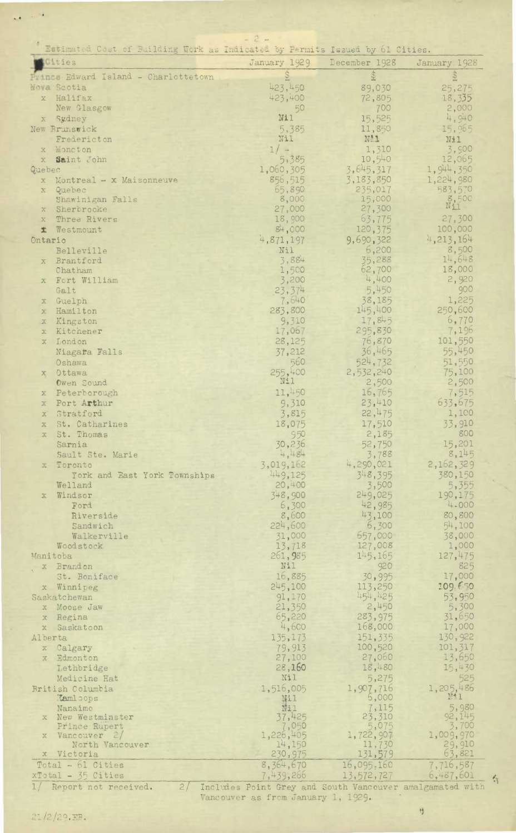| $ \leq$ $-$<br>Eatimated Cost of Building Work as Indicated by Permits Issued by 61 Cities. |                                        |                   |                      |                      |  |  |
|---------------------------------------------------------------------------------------------|----------------------------------------|-------------------|----------------------|----------------------|--|--|
|                                                                                             | <b>ACities</b>                         | January 1929      | December 1928        | January 1928         |  |  |
|                                                                                             | Pane Edward Island - Charlottetown     |                   | $\frac{4}{5}$        | $\frac{1}{2}$        |  |  |
|                                                                                             | Mova Scotia                            | 423,450           | 89,030               | 25,275               |  |  |
| $\mathbf{x}$                                                                                | Halifax                                | 423,400           | 72,805               | 18,335               |  |  |
|                                                                                             | New Glasgow                            | 50                | 700                  | 2,000                |  |  |
| $\mathbb{X}$                                                                                | Sydney<br>New Brunswick                | Nil<br>5,385      | 15,525<br>11,850     | 4,940<br>15,965      |  |  |
|                                                                                             | Fredericton                            | Nil               | N <sup>3</sup> 1     | Nil                  |  |  |
| $\mathbf x$                                                                                 | Moncton                                | 1/                | 1,310                | 3,900                |  |  |
| $\mathbb{X}$                                                                                | Saint John                             | 5,385             | 10,540               | 12,065               |  |  |
| Quebec                                                                                      |                                        | 1,060,305         | 3, 645, 317          | 1,944,350            |  |  |
| $\mathbf{x}$                                                                                | Montreal $-$ x Maisonneuve<br>x Quebec | 856,515<br>65,890 | 3,183,850<br>235,017 | 1,224,980<br>583,570 |  |  |
|                                                                                             | Shawinigan Falls                       | 8,000             | 15,000               | 8,500                |  |  |
| X                                                                                           | Sherbrooke                             | 27,000            | 27,300               | Nil                  |  |  |
| $\mathbf{X}$                                                                                | Three Rivers                           | 18,900            | 63,775               | 27,300               |  |  |
| 土                                                                                           | Westmount                              | 84,000            | 120, 375             | 100,000              |  |  |
| Ontario                                                                                     | Belleville                             | 4,871,197<br>Nil  | 9,690,322<br>6,200   | 4,213,164<br>8,500   |  |  |
|                                                                                             | x Brantford                            | 3,884             | 35,288               | 14,648               |  |  |
|                                                                                             | Chatham                                | 1,500             | 62,700               | 18,000               |  |  |
| X                                                                                           | Fort William                           | 3,200             | 4,400                | 2,920                |  |  |
|                                                                                             | Galt                                   | 23,374            | 5,450                | 900                  |  |  |
| $\mathbf{x}$<br>$\mathbf{x}$                                                                | Guelph<br>Hamilton                     | 7,640<br>283,800  | 38,185<br>145,400    | 1,225<br>250,600     |  |  |
| $\mathbb X$                                                                                 | Kingston                               | 9,310             | 17,845               | 6,770                |  |  |
| $\mathbb{X}$                                                                                | Kitchener                              | 17,067            | 295,830              | 7,196                |  |  |
| $\mathbf{x}$                                                                                | London                                 | 28,125            | 76,870               | 101,550              |  |  |
|                                                                                             | Niagata Falls                          | 37,212            | 36,465               | 55,450               |  |  |
|                                                                                             | Oshawa                                 | 560               | 524,732              | 51,550               |  |  |
| $\mathbf{x}$                                                                                | Ottawa<br>Owen Sound                   | 255,400<br>Nil    | 2,532,240<br>2,500   | 75,100<br>2,500      |  |  |
| $\mathbb{X}$                                                                                | Peterborough                           | 11,450            | 16,765               | 7,515                |  |  |
| $\mathbf x$                                                                                 | Port Arthur                            | 9,310             | 23,410               | 633,675              |  |  |
| $\mathbf{x}$                                                                                | Stratford                              | 3,815             | 22,475               | 1,100                |  |  |
| $\mathbf x$                                                                                 | St. Catharines                         | 18,075            | 17,510               | 33,910               |  |  |
| $\mathbf{x}$                                                                                | St. Thomas                             | 950               | 2,185                | 800<br>15,201        |  |  |
|                                                                                             | Sarnia<br>Sault Ste. Marie             | 30,236<br>4,484   | 52,750<br>3,788      | 8,145                |  |  |
| $\mathbb{X}$                                                                                | Toronto                                | 3,019,162         | 4,290,021            | 2,162,329            |  |  |
|                                                                                             | York and East York Townships           | 449,125           | 348,395              | 380,150              |  |  |
|                                                                                             | Welland                                | 20,400            | 3,500                | 5,355                |  |  |
| $\mathbf{x}$                                                                                | Windsor                                | 348,900           | 249,025              | 190,175<br>4.000     |  |  |
|                                                                                             | Ford<br>Riverside                      | 6,300<br>8,600    | 42,985<br>43,100     | 80,800               |  |  |
|                                                                                             | Sandwich                               | 224,600           | 6,300                | 54,100               |  |  |
|                                                                                             | Walkerville                            | 31,000            | 657,000              | 38,000               |  |  |
|                                                                                             | Woodstock                              | 13,718            | 127,008              | 1,000                |  |  |
| Manitoba                                                                                    |                                        | 261,985<br>Nil    | 145,165<br>920       | 127,475<br>825       |  |  |
|                                                                                             | x Brandon<br>St. Boniface              | 16,885            | 30,995               | 17,000               |  |  |
|                                                                                             | x Winnipeg                             | 245,100           | 113,250              | 109.650              |  |  |
|                                                                                             | Saskatchewan                           | 91,170            | 454,425              | 53,950               |  |  |
|                                                                                             | x Moose Jaw                            | 21,350            | 2,450                | 5,300                |  |  |
| X                                                                                           | Regina                                 | 65,220<br>4,600   | 283,975              | 31,650               |  |  |
| X<br>Alberta                                                                                | Saskatoon                              | 135,173           | 168,000<br>151,335   | 17,000<br>130,922    |  |  |
| X                                                                                           | Calgary                                | 79,913            | 100,520              | 101,317              |  |  |
| X                                                                                           | Edmonton                               | 27,100            | 27,060               | 13,650               |  |  |
|                                                                                             | Lethbridge                             | 28,160            | 18,480               | 15,430               |  |  |
|                                                                                             | Medicine Hat                           | Nil               | 5,275                | 525                  |  |  |
|                                                                                             | British Columbia<br>Kamloops           | 1,516,005<br>Nil  | 1,907,716<br>6,000   | 1,205,486<br>NA1     |  |  |
|                                                                                             | Nanaimo                                | Nil               | 7,115                | 5,980                |  |  |
| X                                                                                           | New Westminster                        | 37,425            | 23,310               | 92,145               |  |  |
|                                                                                             | Prince Rupert                          | ,050<br>1,226,405 | 5,075<br>1,722,907   | 3,700<br>1,009,970   |  |  |
|                                                                                             | x Vancouver 2/<br>North Vancouver      | 14,150            | 11,730               | 29,910               |  |  |
| $\mathbf{x}$                                                                                | Victoria                               | 230,975           | 131,579              | 63,821               |  |  |
| Total $\sim$ 61 Cities                                                                      |                                        | 8,364,670         | 16,095.160           | 7,716,587            |  |  |

 $\frac{\text{xTotal} - 35 \text{ Cities}}{1/$  Report not received.

 $\frac{7,439,266}{2/}$  Includes Point Grey and South Vancouver amalgamated with Vancouver as from January 1, 1929.

 $\mathcal{L}(\mathbf{r})$  , and

纱